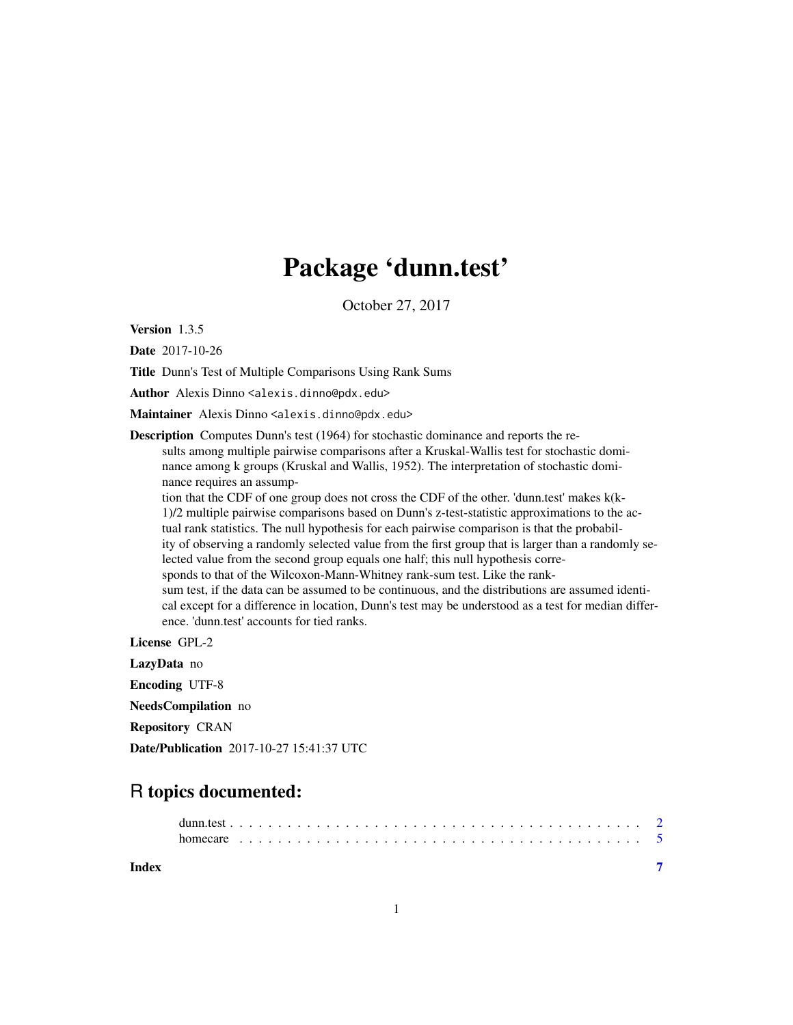## Package 'dunn.test'

October 27, 2017

Version 1.3.5

Date 2017-10-26

Title Dunn's Test of Multiple Comparisons Using Rank Sums

Author Alexis Dinno <alexis.dinno@pdx.edu>

Maintainer Alexis Dinno <alexis.dinno@pdx.edu>

Description Computes Dunn's test (1964) for stochastic dominance and reports the results among multiple pairwise comparisons after a Kruskal-Wallis test for stochastic dominance among k groups (Kruskal and Wallis, 1952). The interpretation of stochastic dominance requires an assump-

tion that the CDF of one group does not cross the CDF of the other. 'dunn.test' makes k(k-1)/2 multiple pairwise comparisons based on Dunn's z-test-statistic approximations to the actual rank statistics. The null hypothesis for each pairwise comparison is that the probability of observing a randomly selected value from the first group that is larger than a randomly selected value from the second group equals one half; this null hypothesis corresponds to that of the Wilcoxon-Mann-Whitney rank-sum test. Like the ranksum test, if the data can be assumed to be continuous, and the distributions are assumed identical except for a difference in location, Dunn's test may be understood as a test for median difference. 'dunn.test' accounts for tied ranks.

License GPL-2 LazyData no

Encoding UTF-8 NeedsCompilation no

Repository CRAN

Date/Publication 2017-10-27 15:41:37 UTC

### R topics documented:

| homecare . |  |  |  |  |  |  |  |  |  |  |  |  |  |  |  |  |  |  |  |  |  |
|------------|--|--|--|--|--|--|--|--|--|--|--|--|--|--|--|--|--|--|--|--|--|

**Index** [7](#page-6-0) **7**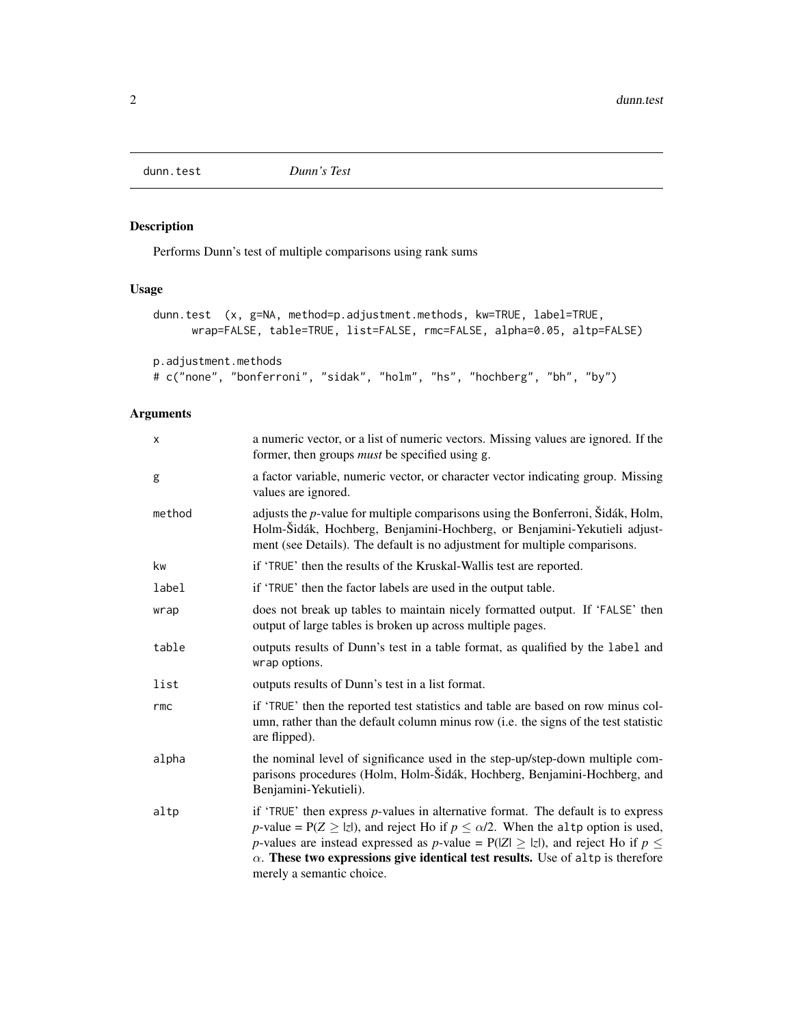<span id="page-1-0"></span>

#### Description

Performs Dunn's test of multiple comparisons using rank sums

#### Usage

```
dunn.test (x, g=NA, method=p.adjustment.methods, kw=TRUE, label=TRUE,
     wrap=FALSE, table=TRUE, list=FALSE, rmc=FALSE, alpha=0.05, altp=FALSE)
```
p.adjustment.methods

```
# c("none", "bonferroni", "sidak", "holm", "hs", "hochberg", "bh", "by")
```
#### Arguments

| x      | a numeric vector, or a list of numeric vectors. Missing values are ignored. If the<br>former, then groups <i>must</i> be specified using g.                                                                                                                                                                                                                                                           |
|--------|-------------------------------------------------------------------------------------------------------------------------------------------------------------------------------------------------------------------------------------------------------------------------------------------------------------------------------------------------------------------------------------------------------|
| g      | a factor variable, numeric vector, or character vector indicating group. Missing<br>values are ignored.                                                                                                                                                                                                                                                                                               |
| method | adjusts the $p$ -value for multiple comparisons using the Bonferroni, Šidák, Holm,<br>Holm-Šidák, Hochberg, Benjamini-Hochberg, or Benjamini-Yekutieli adjust-<br>ment (see Details). The default is no adjustment for multiple comparisons.                                                                                                                                                          |
| kw     | if 'TRUE' then the results of the Kruskal-Wallis test are reported.                                                                                                                                                                                                                                                                                                                                   |
| label  | if 'TRUE' then the factor labels are used in the output table.                                                                                                                                                                                                                                                                                                                                        |
| wrap   | does not break up tables to maintain nicely formatted output. If 'FALSE' then<br>output of large tables is broken up across multiple pages.                                                                                                                                                                                                                                                           |
| table  | outputs results of Dunn's test in a table format, as qualified by the label and<br>wrap options.                                                                                                                                                                                                                                                                                                      |
| list   | outputs results of Dunn's test in a list format.                                                                                                                                                                                                                                                                                                                                                      |
| rmc    | if 'TRUE' then the reported test statistics and table are based on row minus col-<br>umn, rather than the default column minus row (i.e. the signs of the test statistic<br>are flipped).                                                                                                                                                                                                             |
| alpha  | the nominal level of significance used in the step-up/step-down multiple com-<br>parisons procedures (Holm, Holm-Šidák, Hochberg, Benjamini-Hochberg, and<br>Benjamini-Yekutieli).                                                                                                                                                                                                                    |
| altp   | if 'TRUE' then express $p$ -values in alternative format. The default is to express<br>p-value = $P(Z \ge  z )$ , and reject Ho if $p \le \alpha/2$ . When the altp option is used,<br>p-values are instead expressed as p-value = $P( Z  \ge  z )$ , and reject Ho if $p \le$<br>$\alpha$ . These two expressions give identical test results. Use of altp is therefore<br>merely a semantic choice. |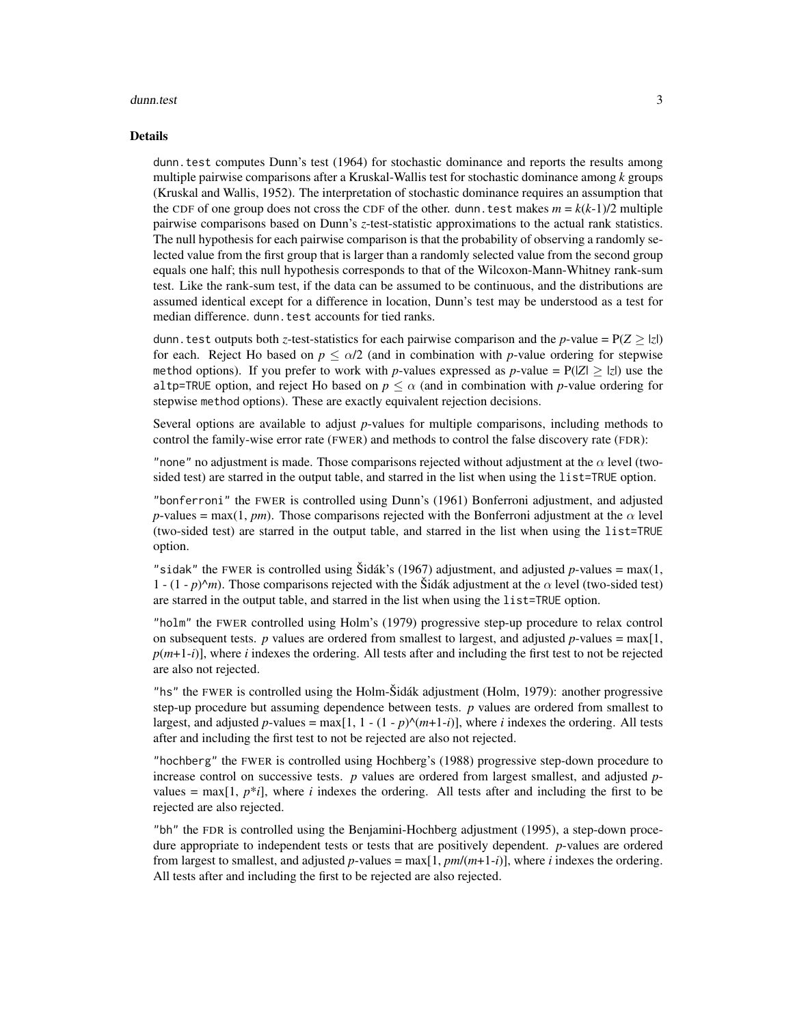#### dunn.test 3

#### Details

dunn. test computes Dunn's test (1964) for stochastic dominance and reports the results among multiple pairwise comparisons after a Kruskal-Wallis test for stochastic dominance among *k* groups (Kruskal and Wallis, 1952). The interpretation of stochastic dominance requires an assumption that the CDF of one group does not cross the CDF of the other. dunn. test makes  $m = k(k-1)/2$  multiple pairwise comparisons based on Dunn's *z*-test-statistic approximations to the actual rank statistics. The null hypothesis for each pairwise comparison is that the probability of observing a randomly selected value from the first group that is larger than a randomly selected value from the second group equals one half; this null hypothesis corresponds to that of the Wilcoxon-Mann-Whitney rank-sum test. Like the rank-sum test, if the data can be assumed to be continuous, and the distributions are assumed identical except for a difference in location, Dunn's test may be understood as a test for median difference. dunn.test accounts for tied ranks.

dunn. test outputs both *z*-test-statistics for each pairwise comparison and the *p*-value =  $P(Z \ge |z|)$ for each. Reject Ho based on  $p \le \alpha/2$  (and in combination with *p*-value ordering for stepwise method options). If you prefer to work with *p*-values expressed as *p*-value =  $P(|Z| \ge |z|)$  use the altp=TRUE option, and reject Ho based on  $p \le \alpha$  (and in combination with *p*-value ordering for stepwise method options). These are exactly equivalent rejection decisions.

Several options are available to adjust *p*-values for multiple comparisons, including methods to control the family-wise error rate (FWER) and methods to control the false discovery rate (FDR):

"none" no adjustment is made. Those comparisons rejected without adjustment at the  $\alpha$  level (twosided test) are starred in the output table, and starred in the list when using the list=TRUE option.

"bonferroni" the FWER is controlled using Dunn's (1961) Bonferroni adjustment, and adjusted *p*-values = max(1, *pm*). Those comparisons rejected with the Bonferroni adjustment at the  $\alpha$  level (two-sided test) are starred in the output table, and starred in the list when using the list=TRUE option.

"sidak" the FWER is controlled using Sidák's (1967) adjustment, and adjusted  $p$ -values = max(1, 1 -  $(1-p)^{n}m$ ). Those comparisons rejected with the Šidák adjustment at the  $\alpha$  level (two-sided test) are starred in the output table, and starred in the list when using the list=TRUE option.

"holm" the FWER controlled using Holm's (1979) progressive step-up procedure to relax control on subsequent tests. *p* values are ordered from smallest to largest, and adjusted *p*-values = max[1,  $p(m+1-i)$ ], where *i* indexes the ordering. All tests after and including the first test to not be rejected are also not rejected.

"hs" the FWER is controlled using the Holm-Šidák adjustment (Holm, 1979): another progressive step-up procedure but assuming dependence between tests. *p* values are ordered from smallest to largest, and adjusted *p*-values = max[1, 1 - (1 - *p*) $\land$ (*m*+1-*i*)], where *i* indexes the ordering. All tests after and including the first test to not be rejected are also not rejected.

"hochberg" the FWER is controlled using Hochberg's (1988) progressive step-down procedure to increase control on successive tests. *p* values are ordered from largest smallest, and adjusted *p*values =  $\max[1, p^*i]$ , where *i* indexes the ordering. All tests after and including the first to be rejected are also rejected.

"bh" the FDR is controlled using the Benjamini-Hochberg adjustment (1995), a step-down procedure appropriate to independent tests or tests that are positively dependent. *p*-values are ordered from largest to smallest, and adjusted  $p$ -values = max $[1, pm/(m+1-i)]$ , where *i* indexes the ordering. All tests after and including the first to be rejected are also rejected.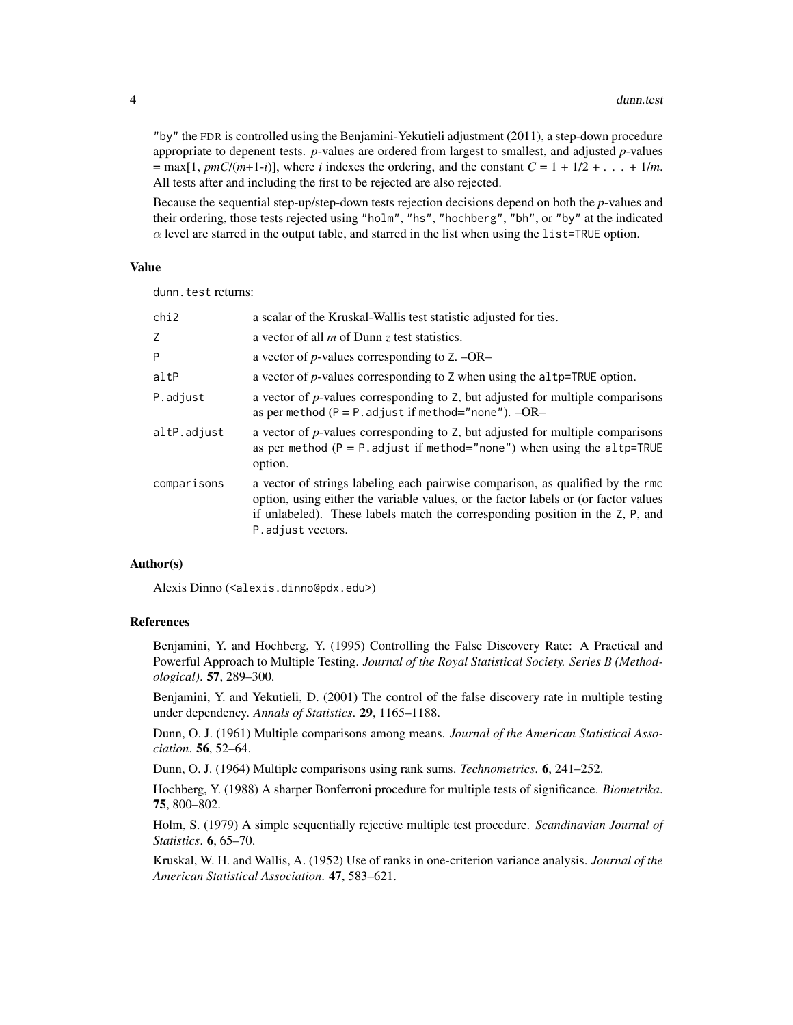"by" the FDR is controlled using the Benjamini-Yekutieli adjustment (2011), a step-down procedure appropriate to depenent tests. *p*-values are ordered from largest to smallest, and adjusted *p*-values  $=$  max[1, *pmC*/(*m*+1-*i*)], where *i* indexes the ordering, and the constant  $C = 1 + 1/2 + ... + 1/m$ . All tests after and including the first to be rejected are also rejected.

Because the sequential step-up/step-down tests rejection decisions depend on both the *p*-values and their ordering, those tests rejected using "holm", "hs", "hochberg", "bh", or "by" at the indicated  $\alpha$  level are starred in the output table, and starred in the list when using the list=TRUE option.

#### Value

dunn.test returns:

| chi2        | a scalar of the Kruskal-Wallis test statistic adjusted for ties.                                                                                                                                                                                                            |
|-------------|-----------------------------------------------------------------------------------------------------------------------------------------------------------------------------------------------------------------------------------------------------------------------------|
| Z           | a vector of all $m$ of Dunn $\zeta$ test statistics.                                                                                                                                                                                                                        |
| P           | a vector of <i>p</i> -values corresponding to $Z$ . $-OR-$                                                                                                                                                                                                                  |
| altP        | a vector of <i>p</i> -values corresponding to Z when using the altp=TRUE option.                                                                                                                                                                                            |
| P.adjust    | a vector of <i>p</i> -values corresponding to Z, but adjusted for multiple comparisons<br>as per method ( $P = P$ . adjust if method="none"). $-OR-$                                                                                                                        |
| altP.adjust | a vector of <i>p</i> -values corresponding to Z, but adjusted for multiple comparisons<br>as per method ( $P = P$ . adjust if method="none") when using the altp=TRUE<br>option.                                                                                            |
| comparisons | a vector of strings labeling each pairwise comparison, as qualified by the rmc<br>option, using either the variable values, or the factor labels or (or factor values<br>if unlabeled). These labels match the corresponding position in the Z, P, and<br>P.adjust vectors. |

#### Author(s)

Alexis Dinno (<alexis.dinno@pdx.edu>)

#### References

Benjamini, Y. and Hochberg, Y. (1995) Controlling the False Discovery Rate: A Practical and Powerful Approach to Multiple Testing. *Journal of the Royal Statistical Society. Series B (Methodological)*. 57, 289–300.

Benjamini, Y. and Yekutieli, D. (2001) The control of the false discovery rate in multiple testing under dependency. *Annals of Statistics*. 29, 1165–1188.

Dunn, O. J. (1961) Multiple comparisons among means. *Journal of the American Statistical Association*. 56, 52–64.

Dunn, O. J. (1964) Multiple comparisons using rank sums. *Technometrics*. 6, 241–252.

Hochberg, Y. (1988) A sharper Bonferroni procedure for multiple tests of significance. *Biometrika*. 75, 800–802.

Holm, S. (1979) A simple sequentially rejective multiple test procedure. *Scandinavian Journal of Statistics*. 6, 65–70.

Kruskal, W. H. and Wallis, A. (1952) Use of ranks in one-criterion variance analysis. *Journal of the American Statistical Association*. 47, 583–621.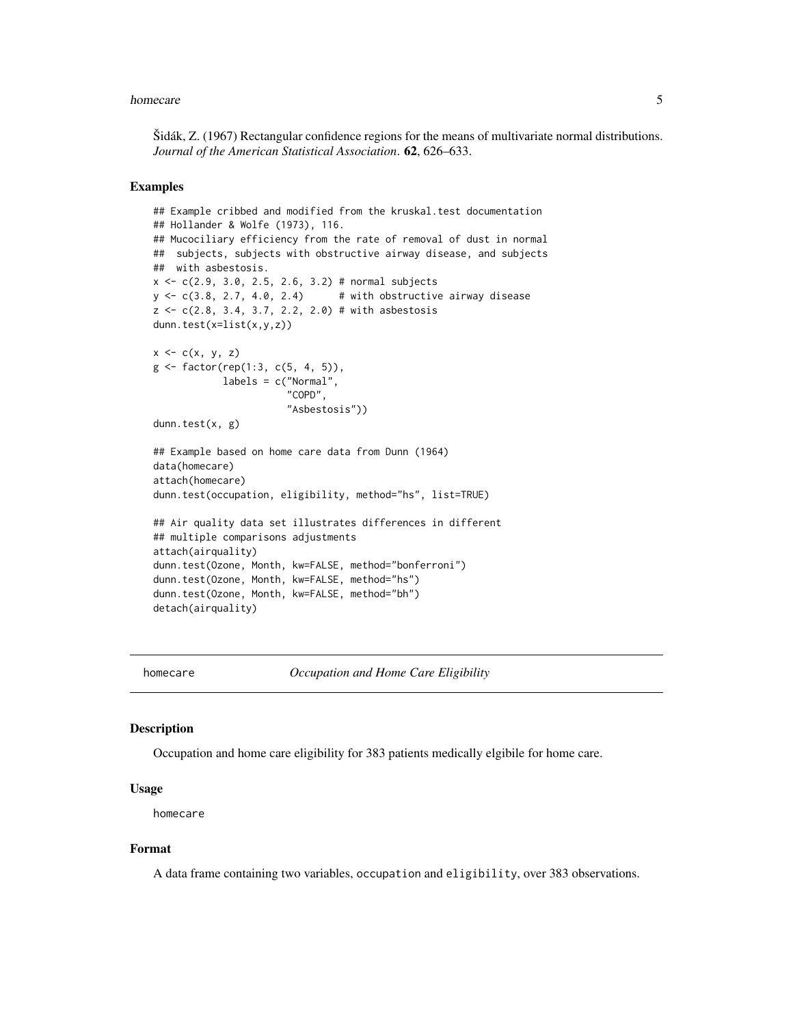#### <span id="page-4-0"></span>homecare 5

Šidák, Z. (1967) Rectangular confidence regions for the means of multivariate normal distributions. *Journal of the American Statistical Association*. 62, 626–633.

#### Examples

```
## Example cribbed and modified from the kruskal.test documentation
## Hollander & Wolfe (1973), 116.
## Mucociliary efficiency from the rate of removal of dust in normal
## subjects, subjects with obstructive airway disease, and subjects
## with asbestosis.
x \leq c(2.9, 3.0, 2.5, 2.6, 3.2) # normal subjects
y \leq c(3.8, 2.7, 4.0, 2.4) # with obstructive airway disease
z \leq c(2.8, 3.4, 3.7, 2.2, 2.0) # with asbestosis
dunn.test(x=list(x,y,z))
x \leftarrow c(x, y, z)g \leftarrow factor(rep(1:3, c(5, 4, 5)),labels = c("Normal",
                       "COPD",
                       "Asbestosis"))
dunn.test(x, g)
## Example based on home care data from Dunn (1964)
data(homecare)
attach(homecare)
dunn.test(occupation, eligibility, method="hs", list=TRUE)
## Air quality data set illustrates differences in different
## multiple comparisons adjustments
attach(airquality)
dunn.test(Ozone, Month, kw=FALSE, method="bonferroni")
dunn.test(Ozone, Month, kw=FALSE, method="hs")
dunn.test(Ozone, Month, kw=FALSE, method="bh")
detach(airquality)
```
homecare *Occupation and Home Care Eligibility*

#### **Description**

Occupation and home care eligibility for 383 patients medically elgibile for home care.

#### Usage

homecare

#### Format

A data frame containing two variables, occupation and eligibility, over 383 observations.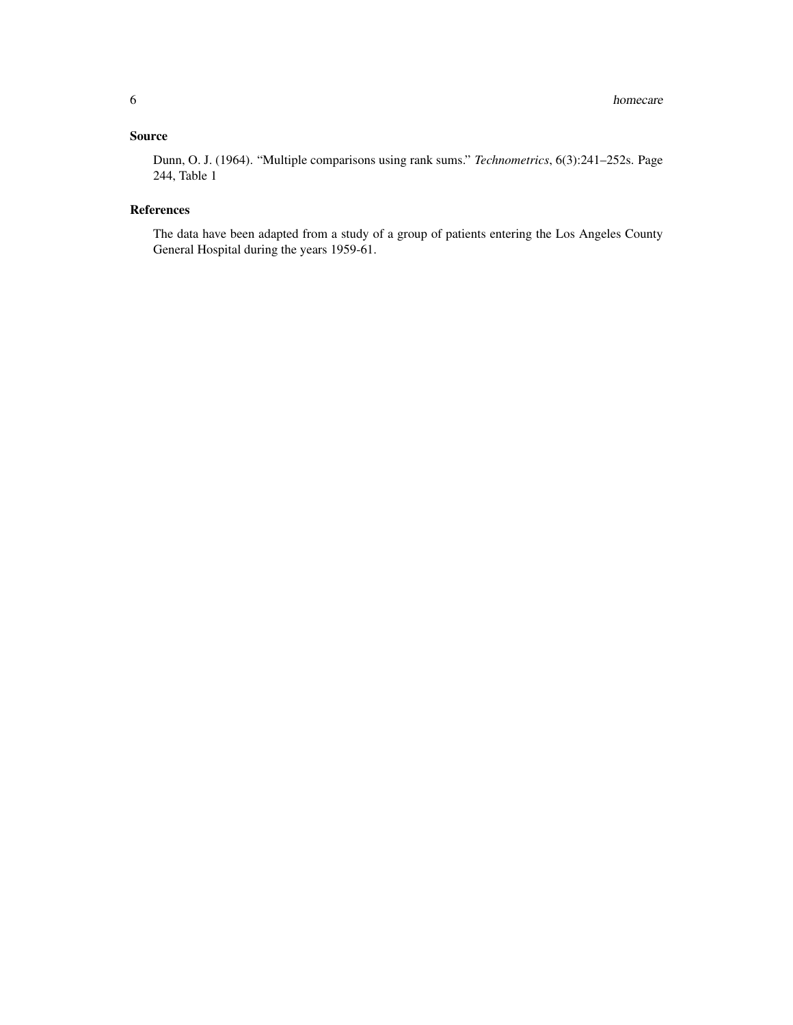#### Source

Dunn, O. J. (1964). "Multiple comparisons using rank sums." *Technometrics*, 6(3):241–252s. Page 244, Table 1

#### References

The data have been adapted from a study of a group of patients entering the Los Angeles County General Hospital during the years 1959-61.